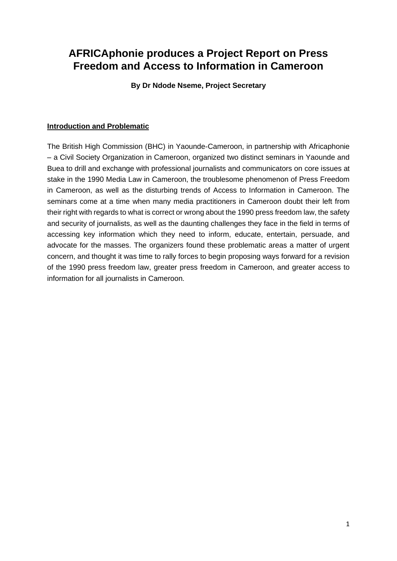# **AFRICAphonie produces a Project Report on Press Freedom and Access to Information in Cameroon**

**By Dr Ndode Nseme, Project Secretary**

# **Introduction and Problematic**

The British High Commission (BHC) in Yaounde-Cameroon, in partnership with Africaphonie – a Civil Society Organization in Cameroon, organized two distinct seminars in Yaounde and Buea to drill and exchange with professional journalists and communicators on core issues at stake in the 1990 Media Law in Cameroon, the troublesome phenomenon of Press Freedom in Cameroon, as well as the disturbing trends of Access to Information in Cameroon. The seminars come at a time when many media practitioners in Cameroon doubt their left from their right with regards to what is correct or wrong about the 1990 press freedom law, the safety and security of journalists, as well as the daunting challenges they face in the field in terms of accessing key information which they need to inform, educate, entertain, persuade, and advocate for the masses. The organizers found these problematic areas a matter of urgent concern, and thought it was time to rally forces to begin proposing ways forward for a revision of the 1990 press freedom law, greater press freedom in Cameroon, and greater access to information for all journalists in Cameroon.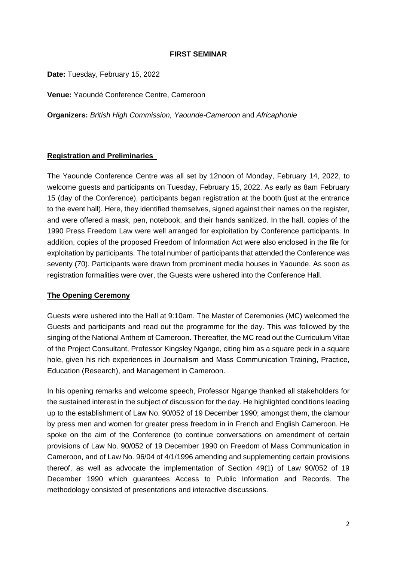#### **FIRST SEMINAR**

**Date:** Tuesday, February 15, 2022

**Venue:** Yaoundé Conference Centre, Cameroon

**Organizers:** *British High Commission, Yaounde-Cameroon* and *Africaphonie*

# **Registration and Preliminaries**

The Yaounde Conference Centre was all set by 12noon of Monday, February 14, 2022, to welcome guests and participants on Tuesday, February 15, 2022. As early as 8am February 15 (day of the Conference), participants began registration at the booth (just at the entrance to the event hall). Here, they identified themselves, signed against their names on the register, and were offered a mask, pen, notebook, and their hands sanitized. In the hall, copies of the 1990 Press Freedom Law were well arranged for exploitation by Conference participants. In addition, copies of the proposed Freedom of Information Act were also enclosed in the file for exploitation by participants. The total number of participants that attended the Conference was seventy (70). Participants were drawn from prominent media houses in Yaounde. As soon as registration formalities were over, the Guests were ushered into the Conference Hall.

# **The Opening Ceremony**

Guests were ushered into the Hall at 9:10am. The Master of Ceremonies (MC) welcomed the Guests and participants and read out the programme for the day. This was followed by the singing of the National Anthem of Cameroon. Thereafter, the MC read out the Curriculum Vitae of the Project Consultant, Professor Kingsley Ngange, citing him as a square peck in a square hole, given his rich experiences in Journalism and Mass Communication Training, Practice, Education (Research), and Management in Cameroon.

In his opening remarks and welcome speech, Professor Ngange thanked all stakeholders for the sustained interest in the subject of discussion for the day. He highlighted conditions leading up to the establishment of Law No. 90/052 of 19 December 1990; amongst them, the clamour by press men and women for greater press freedom in in French and English Cameroon. He spoke on the aim of the Conference (to continue conversations on amendment of certain provisions of Law No. 90/052 of 19 December 1990 on Freedom of Mass Communication in Cameroon, and of Law No. 96/04 of 4/1/1996 amending and supplementing certain provisions thereof, as well as advocate the implementation of Section 49(1) of Law 90/052 of 19 December 1990 which guarantees Access to Public Information and Records. The methodology consisted of presentations and interactive discussions.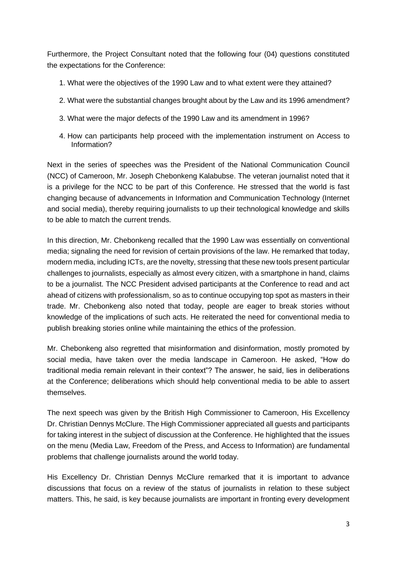Furthermore, the Project Consultant noted that the following four (04) questions constituted the expectations for the Conference:

- 1. What were the objectives of the 1990 Law and to what extent were they attained?
- 2. What were the substantial changes brought about by the Law and its 1996 amendment?
- 3. What were the major defects of the 1990 Law and its amendment in 1996?
- 4. How can participants help proceed with the implementation instrument on Access to Information?

Next in the series of speeches was the President of the National Communication Council (NCC) of Cameroon, Mr. Joseph Chebonkeng Kalabubse. The veteran journalist noted that it is a privilege for the NCC to be part of this Conference. He stressed that the world is fast changing because of advancements in Information and Communication Technology (Internet and social media), thereby requiring journalists to up their technological knowledge and skills to be able to match the current trends.

In this direction, Mr. Chebonkeng recalled that the 1990 Law was essentially on conventional media; signaling the need for revision of certain provisions of the law. He remarked that today, modern media, including ICTs, are the novelty, stressing that these new tools present particular challenges to journalists, especially as almost every citizen, with a smartphone in hand, claims to be a journalist. The NCC President advised participants at the Conference to read and act ahead of citizens with professionalism, so as to continue occupying top spot as masters in their trade. Mr. Chebonkeng also noted that today, people are eager to break stories without knowledge of the implications of such acts. He reiterated the need for conventional media to publish breaking stories online while maintaining the ethics of the profession.

Mr. Chebonkeng also regretted that misinformation and disinformation, mostly promoted by social media, have taken over the media landscape in Cameroon. He asked, "How do traditional media remain relevant in their context"? The answer, he said, lies in deliberations at the Conference; deliberations which should help conventional media to be able to assert themselves.

The next speech was given by the British High Commissioner to Cameroon, His Excellency Dr. Christian Dennys McClure. The High Commissioner appreciated all guests and participants for taking interest in the subject of discussion at the Conference. He highlighted that the issues on the menu (Media Law, Freedom of the Press, and Access to Information) are fundamental problems that challenge journalists around the world today.

His Excellency Dr. Christian Dennys McClure remarked that it is important to advance discussions that focus on a review of the status of journalists in relation to these subject matters. This, he said, is key because journalists are important in fronting every development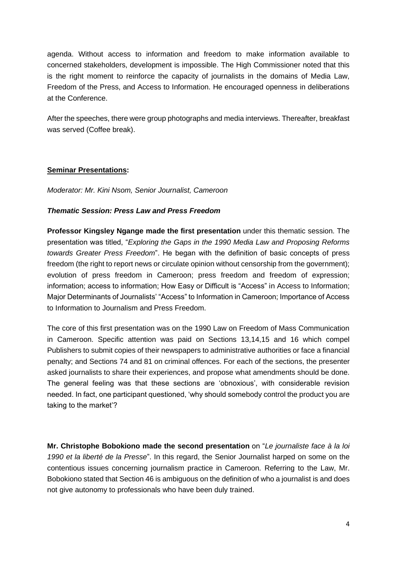agenda. Without access to information and freedom to make information available to concerned stakeholders, development is impossible. The High Commissioner noted that this is the right moment to reinforce the capacity of journalists in the domains of Media Law, Freedom of the Press, and Access to Information. He encouraged openness in deliberations at the Conference.

After the speeches, there were group photographs and media interviews. Thereafter, breakfast was served (Coffee break).

# **Seminar Presentations:**

*Moderator: Mr. Kini Nsom, Senior Journalist, Cameroon*

# *Thematic Session: Press Law and Press Freedom*

**Professor Kingsley Ngange made the first presentation** under this thematic session. The presentation was titled, "*Exploring the Gaps in the 1990 Media Law and Proposing Reforms towards Greater Press Freedom*". He began with the definition of basic concepts of press freedom (the right to report news or circulate opinion without censorship from the government); evolution of press freedom in Cameroon; press freedom and freedom of expression; information; access to information; How Easy or Difficult is "Access" in Access to Information; Major Determinants of Journalists' "Access" to Information in Cameroon; Importance of Access to Information to Journalism and Press Freedom.

The core of this first presentation was on the 1990 Law on Freedom of Mass Communication in Cameroon. Specific attention was paid on Sections 13,14,15 and 16 which compel Publishers to submit copies of their newspapers to administrative authorities or face a financial penalty; and Sections 74 and 81 on criminal offences. For each of the sections, the presenter asked journalists to share their experiences, and propose what amendments should be done. The general feeling was that these sections are 'obnoxious', with considerable revision needed. In fact, one participant questioned, 'why should somebody control the product you are taking to the market'?

**Mr. Christophe Bobokiono made the second presentation** on "*Le journaliste face à la loi 1990 et la liberté de la Presse*". In this regard, the Senior Journalist harped on some on the contentious issues concerning journalism practice in Cameroon. Referring to the Law, Mr. Bobokiono stated that Section 46 is ambiguous on the definition of who a journalist is and does not give autonomy to professionals who have been duly trained.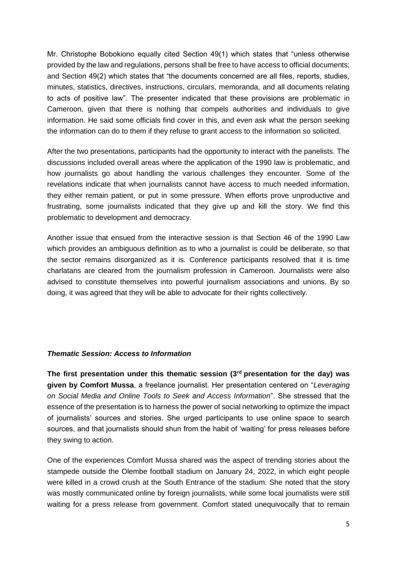Mr. Christophe Bobokiono equally cited Section 49(1) which states that "unless otherwise provided by the law and regulations, persons shall be free to have access to official documents; and Section 49(2) which states that "the documents concerned are all files, reports, studies, minutes, statistics, directives, instructions, circulars, memoranda, and all documents relating to acts of positive law". The presenter indicated that these provisions are problematic in Cameroon, given that there is nothing that compels authorities and individuals to give information. He said some officials find cover in this, and even ask what the person seeking the information can do to them if they refuse to grant access to the information so solicited.

After the two presentations, participants had the opportunity to interact with the panelists. The discussions included overall areas where the application of the 1990 law is problematic, and how journalists go about handling the various challenges they encounter. Some of the revelations indicate that when journalists cannot have access to much needed information, they either remain patient, or put in some pressure. When efforts prove unproductive and frustrating, some journalists indicated that they give up and kill the story. We find this problematic to development and democracy.

Another issue that ensued from the interactive session is that Section 46 of the 1990 Law which provides an ambiguous definition as to who a journalist is could be deliberate, so that the sector remains disorganized as it is. Conference participants resolved that it is time charlatans are cleared from the journalism profession in Cameroon. Journalists were also advised to constitute themselves into powerful journalism associations and unions. By so doing, it was agreed that they will be able to advocate for their rights collectively.

# *Thematic Session: Access to Information*

**The first presentation under this thematic session (3rd presentation for the day) was given by Comfort Mussa**, a freelance journalist. Her presentation centered on "*Leveraging on Social Media and Online Tools to Seek and Access Information*". She stressed that the essence of the presentation is to harness the power of social networking to optimize the impact of journalists' sources and stories. She urged participants to use online space to search sources, and that journalists should shun from the habit of 'waiting' for press releases before they swing to action.

One of the experiences Comfort Mussa shared was the aspect of trending stories about the stampede outside the Olembe football stadium on January 24, 2022, in which eight people were killed in a crowd crush at the South Entrance of the stadium. She noted that the story was mostly communicated online by foreign journalists, while some local journalists were still waiting for a press release from government. Comfort stated unequivocally that to remain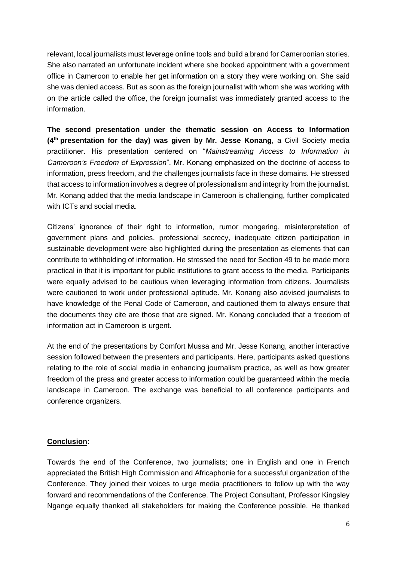relevant, local journalists must leverage online tools and build a brand for Cameroonian stories. She also narrated an unfortunate incident where she booked appointment with a government office in Cameroon to enable her get information on a story they were working on. She said she was denied access. But as soon as the foreign journalist with whom she was working with on the article called the office, the foreign journalist was immediately granted access to the information.

**The second presentation under the thematic session on Access to Information (4th presentation for the day) was given by Mr. Jesse Konang**, a Civil Society media practitioner. His presentation centered on "*Mainstreaming Access to Information in Cameroon's Freedom of Expression*". Mr. Konang emphasized on the doctrine of access to information, press freedom, and the challenges journalists face in these domains. He stressed that access to information involves a degree of professionalism and integrity from the journalist. Mr. Konang added that the media landscape in Cameroon is challenging, further complicated with ICTs and social media.

Citizens' ignorance of their right to information, rumor mongering, misinterpretation of government plans and policies, professional secrecy, inadequate citizen participation in sustainable development were also highlighted during the presentation as elements that can contribute to withholding of information. He stressed the need for Section 49 to be made more practical in that it is important for public institutions to grant access to the media. Participants were equally advised to be cautious when leveraging information from citizens. Journalists were cautioned to work under professional aptitude. Mr. Konang also advised journalists to have knowledge of the Penal Code of Cameroon, and cautioned them to always ensure that the documents they cite are those that are signed. Mr. Konang concluded that a freedom of information act in Cameroon is urgent.

At the end of the presentations by Comfort Mussa and Mr. Jesse Konang, another interactive session followed between the presenters and participants. Here, participants asked questions relating to the role of social media in enhancing journalism practice, as well as how greater freedom of the press and greater access to information could be guaranteed within the media landscape in Cameroon. The exchange was beneficial to all conference participants and conference organizers.

# **Conclusion:**

Towards the end of the Conference, two journalists; one in English and one in French appreciated the British High Commission and Africaphonie for a successful organization of the Conference. They joined their voices to urge media practitioners to follow up with the way forward and recommendations of the Conference. The Project Consultant, Professor Kingsley Ngange equally thanked all stakeholders for making the Conference possible. He thanked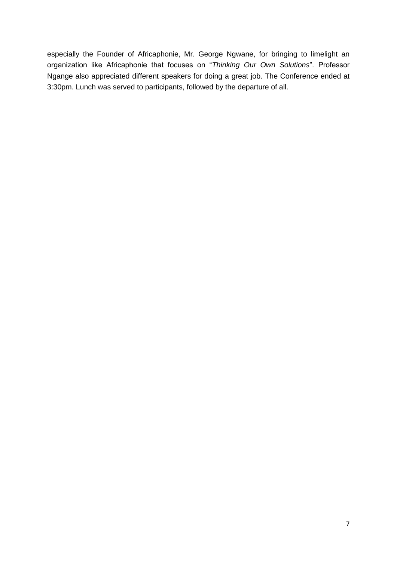especially the Founder of Africaphonie, Mr. George Ngwane, for bringing to limelight an organization like Africaphonie that focuses on "*Thinking Our Own Solutions*". Professor Ngange also appreciated different speakers for doing a great job. The Conference ended at 3:30pm. Lunch was served to participants, followed by the departure of all.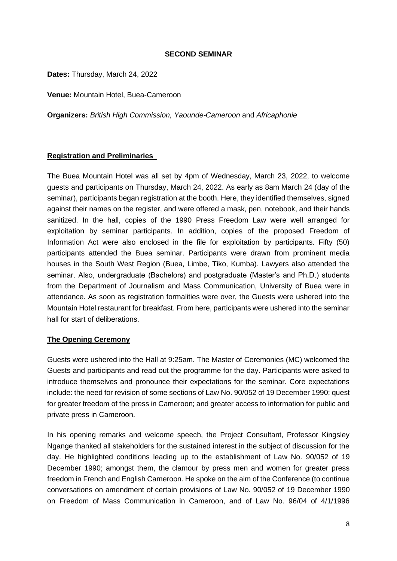#### **SECOND SEMINAR**

**Dates:** Thursday, March 24, 2022

**Venue:** Mountain Hotel, Buea-Cameroon

**Organizers:** *British High Commission, Yaounde-Cameroon* and *Africaphonie*

# **Registration and Preliminaries**

The Buea Mountain Hotel was all set by 4pm of Wednesday, March 23, 2022, to welcome guests and participants on Thursday, March 24, 2022. As early as 8am March 24 (day of the seminar), participants began registration at the booth. Here, they identified themselves, signed against their names on the register, and were offered a mask, pen, notebook, and their hands sanitized. In the hall, copies of the 1990 Press Freedom Law were well arranged for exploitation by seminar participants. In addition, copies of the proposed Freedom of Information Act were also enclosed in the file for exploitation by participants. Fifty (50) participants attended the Buea seminar. Participants were drawn from prominent media houses in the South West Region (Buea, Limbe, Tiko, Kumba). Lawyers also attended the seminar. Also, undergraduate (Bachelors) and postgraduate (Master's and Ph.D.) students from the Department of Journalism and Mass Communication, University of Buea were in attendance. As soon as registration formalities were over, the Guests were ushered into the Mountain Hotel restaurant for breakfast. From here, participants were ushered into the seminar hall for start of deliberations.

# **The Opening Ceremony**

Guests were ushered into the Hall at 9:25am. The Master of Ceremonies (MC) welcomed the Guests and participants and read out the programme for the day. Participants were asked to introduce themselves and pronounce their expectations for the seminar. Core expectations include: the need for revision of some sections of Law No. 90/052 of 19 December 1990; quest for greater freedom of the press in Cameroon; and greater access to information for public and private press in Cameroon.

In his opening remarks and welcome speech, the Project Consultant, Professor Kingsley Ngange thanked all stakeholders for the sustained interest in the subject of discussion for the day. He highlighted conditions leading up to the establishment of Law No. 90/052 of 19 December 1990; amongst them, the clamour by press men and women for greater press freedom in French and English Cameroon. He spoke on the aim of the Conference (to continue conversations on amendment of certain provisions of Law No. 90/052 of 19 December 1990 on Freedom of Mass Communication in Cameroon, and of Law No. 96/04 of 4/1/1996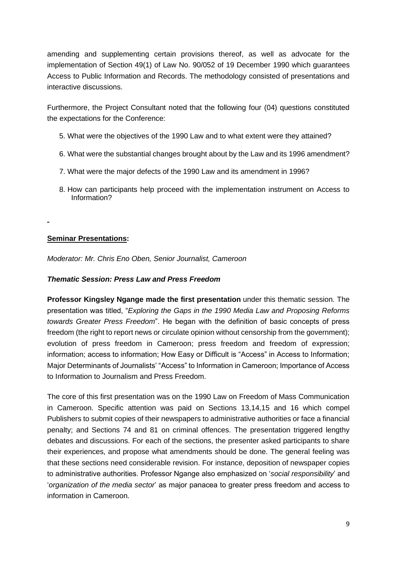amending and supplementing certain provisions thereof, as well as advocate for the implementation of Section 49(1) of Law No. 90/052 of 19 December 1990 which guarantees Access to Public Information and Records. The methodology consisted of presentations and interactive discussions.

Furthermore, the Project Consultant noted that the following four (04) questions constituted the expectations for the Conference:

- 5. What were the objectives of the 1990 Law and to what extent were they attained?
- 6. What were the substantial changes brought about by the Law and its 1996 amendment?
- 7. What were the major defects of the 1990 Law and its amendment in 1996?
- 8. How can participants help proceed with the implementation instrument on Access to Information?

# **Seminar Presentations:**

*Moderator: Mr. Chris Eno Oben, Senior Journalist, Cameroon*

# *Thematic Session: Press Law and Press Freedom*

**Professor Kingsley Ngange made the first presentation** under this thematic session. The presentation was titled, "*Exploring the Gaps in the 1990 Media Law and Proposing Reforms towards Greater Press Freedom*". He began with the definition of basic concepts of press freedom (the right to report news or circulate opinion without censorship from the government); evolution of press freedom in Cameroon; press freedom and freedom of expression; information; access to information; How Easy or Difficult is "Access" in Access to Information; Major Determinants of Journalists' "Access" to Information in Cameroon; Importance of Access to Information to Journalism and Press Freedom.

The core of this first presentation was on the 1990 Law on Freedom of Mass Communication in Cameroon. Specific attention was paid on Sections 13,14,15 and 16 which compel Publishers to submit copies of their newspapers to administrative authorities or face a financial penalty; and Sections 74 and 81 on criminal offences. The presentation triggered lengthy debates and discussions. For each of the sections, the presenter asked participants to share their experiences, and propose what amendments should be done. The general feeling was that these sections need considerable revision. For instance, deposition of newspaper copies to administrative authorities. Professor Ngange also emphasized on '*social responsibility*' and '*organization of the media sector*' as major panacea to greater press freedom and access to information in Cameroon.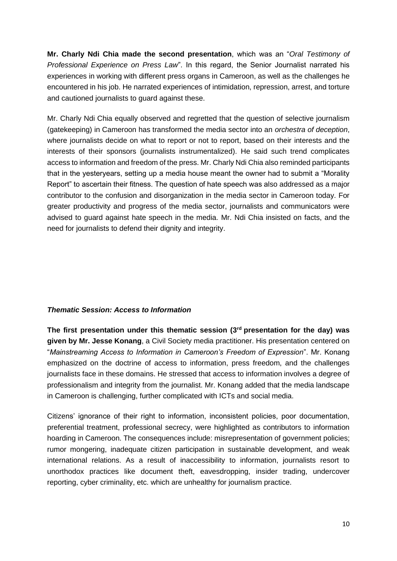**Mr. Charly Ndi Chia made the second presentation**, which was an "*Oral Testimony of Professional Experience on Press Law*". In this regard, the Senior Journalist narrated his experiences in working with different press organs in Cameroon, as well as the challenges he encountered in his job. He narrated experiences of intimidation, repression, arrest, and torture and cautioned journalists to guard against these.

Mr. Charly Ndi Chia equally observed and regretted that the question of selective journalism (gatekeeping) in Cameroon has transformed the media sector into an *orchestra of deception*, where journalists decide on what to report or not to report, based on their interests and the interests of their sponsors (journalists instrumentalized). He said such trend complicates access to information and freedom of the press. Mr. Charly Ndi Chia also reminded participants that in the yesteryears, setting up a media house meant the owner had to submit a "Morality Report" to ascertain their fitness. The question of hate speech was also addressed as a major contributor to the confusion and disorganization in the media sector in Cameroon today. For greater productivity and progress of the media sector, journalists and communicators were advised to guard against hate speech in the media. Mr. Ndi Chia insisted on facts, and the need for journalists to defend their dignity and integrity.

# *Thematic Session: Access to Information*

**The first presentation under this thematic session (3rd presentation for the day) was given by Mr. Jesse Konang**, a Civil Society media practitioner. His presentation centered on "*Mainstreaming Access to Information in Cameroon's Freedom of Expression*". Mr. Konang emphasized on the doctrine of access to information, press freedom, and the challenges journalists face in these domains. He stressed that access to information involves a degree of professionalism and integrity from the journalist. Mr. Konang added that the media landscape in Cameroon is challenging, further complicated with ICTs and social media.

Citizens' ignorance of their right to information, inconsistent policies, poor documentation, preferential treatment, professional secrecy, were highlighted as contributors to information hoarding in Cameroon. The consequences include: misrepresentation of government policies; rumor mongering, inadequate citizen participation in sustainable development, and weak international relations. As a result of inaccessibility to information, journalists resort to unorthodox practices like document theft, eavesdropping, insider trading, undercover reporting, cyber criminality, etc. which are unhealthy for journalism practice.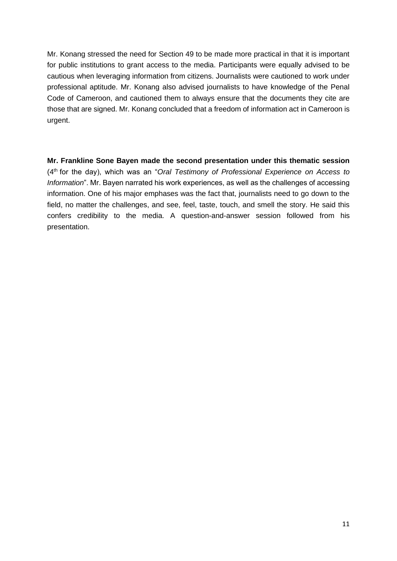Mr. Konang stressed the need for Section 49 to be made more practical in that it is important for public institutions to grant access to the media. Participants were equally advised to be cautious when leveraging information from citizens. Journalists were cautioned to work under professional aptitude. Mr. Konang also advised journalists to have knowledge of the Penal Code of Cameroon, and cautioned them to always ensure that the documents they cite are those that are signed. Mr. Konang concluded that a freedom of information act in Cameroon is urgent.

**Mr. Frankline Sone Bayen made the second presentation under this thematic session**  (4th for the day), which was an "*Oral Testimony of Professional Experience on Access to Information*". Mr. Bayen narrated his work experiences, as well as the challenges of accessing information. One of his major emphases was the fact that, journalists need to go down to the field, no matter the challenges, and see, feel, taste, touch, and smell the story. He said this confers credibility to the media. A question-and-answer session followed from his presentation.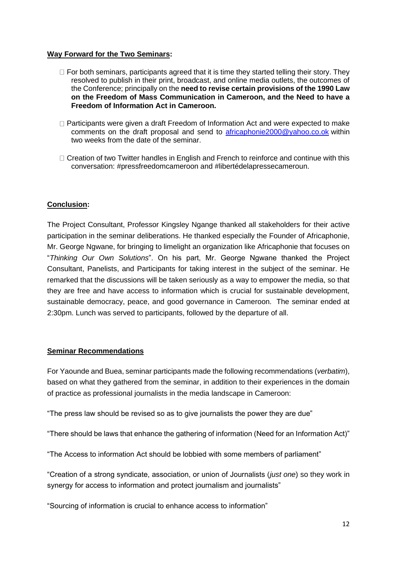# **Way Forward for the Two Seminars:**

- $\Box$  For both seminars, participants agreed that it is time they started telling their story. They resolved to publish in their print, broadcast, and online media outlets, the outcomes of the Conference; principally on the **need to revise certain provisions of the 1990 Law on the Freedom of Mass Communication in Cameroon, and the Need to have a Freedom of Information Act in Cameroon.**
- $\Box$  Participants were given a draft Freedom of Information Act and were expected to make comments on the draft proposal and send to [africaphonie2000@yahoo.co.ok](mailto:africaphonie2000@yahoo.co.ok) within two weeks from the date of the seminar.
- $\Box$  Creation of two Twitter handles in English and French to reinforce and continue with this conversation: #pressfreedomcameroon and #libertédelapressecameroun.

# **Conclusion:**

The Project Consultant, Professor Kingsley Ngange thanked all stakeholders for their active participation in the seminar deliberations. He thanked especially the Founder of Africaphonie, Mr. George Ngwane, for bringing to limelight an organization like Africaphonie that focuses on "*Thinking Our Own Solutions*". On his part, Mr. George Ngwane thanked the Project Consultant, Panelists, and Participants for taking interest in the subject of the seminar. He remarked that the discussions will be taken seriously as a way to empower the media, so that they are free and have access to information which is crucial for sustainable development, sustainable democracy, peace, and good governance in Cameroon. The seminar ended at 2:30pm. Lunch was served to participants, followed by the departure of all.

# **Seminar Recommendations**

For Yaounde and Buea, seminar participants made the following recommendations (*verbatim*), based on what they gathered from the seminar, in addition to their experiences in the domain of practice as professional journalists in the media landscape in Cameroon:

"The press law should be revised so as to give journalists the power they are due"

"There should be laws that enhance the gathering of information (Need for an Information Act)"

"The Access to information Act should be lobbied with some members of parliament"

"Creation of a strong syndicate, association, or union of Journalists (*just one*) so they work in synergy for access to information and protect journalism and journalists"

"Sourcing of information is crucial to enhance access to information"